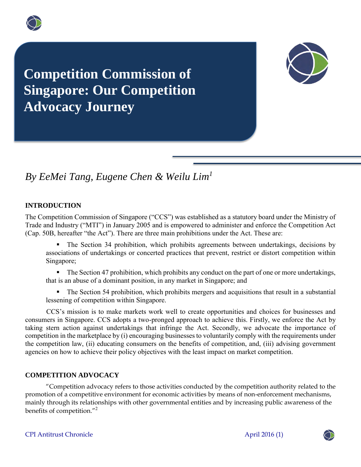



# *By EeMei Tang, Eugene Chen & Weilu Lim<sup>1</sup>*

## **INTRODUCTION**

The Competition Commission of Singapore ("CCS") was established as a statutory board under the Ministry of Trade and Industry ("MTI") in January 2005 and is empowered to administer and enforce the Competition Act (Cap. 50B, hereafter "the Act"). There are three main prohibitions under the Act. These are:

 The Section 34 prohibition, which prohibits agreements between undertakings, decisions by associations of undertakings or concerted practices that prevent, restrict or distort competition within Singapore;

The Section 47 prohibition, which prohibits any conduct on the part of one or more undertakings, that is an abuse of a dominant position, in any market in Singapore; and

 The Section 54 prohibition, which prohibits mergers and acquisitions that result in a substantial lessening of competition within Singapore.

CCS's mission is to make markets work well to create opportunities and choices for businesses and consumers in Singapore. CCS adopts a two-pronged approach to achieve this. Firstly, we enforce the Act by taking stern action against undertakings that infringe the Act. Secondly, we advocate the importance of competition in the marketplace by (i) encouraging businesses to voluntarily comply with the requirements under the competition law, (ii) educating consumers on the benefits of competition, and, (iii) advising government agencies on how to achieve their policy objectives with the least impact on market competition.

#### **COMPETITION ADVOCACY**

"Competition advocacy refers to those activities conducted by the competition authority related to the promotion of a competitive environment for economic activities by means of non-enforcement mechanisms, mainly through its relationships with other governmental entities and by increasing public awareness of the benefits of competition."<sup>2</sup>

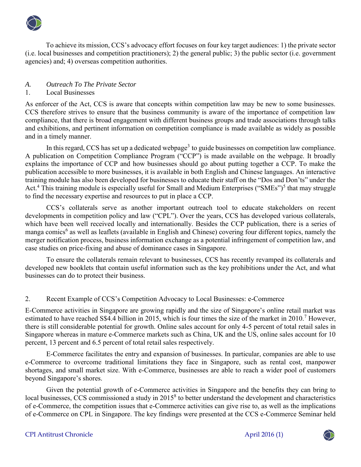

To achieve its mission, CCS's advocacy effort focuses on four key target audiences: 1) the private sector (i.e. local businesses and competition practitioners); 2) the general public; 3) the public sector (i.e. government agencies) and; 4) overseas competition authorities.

# *A. Outreach To The Private Sector*

# 1. Local Businesses

As enforcer of the Act, CCS is aware that concepts within competition law may be new to some businesses. CCS therefore strives to ensure that the business community is aware of the importance of competition law compliance, that there is broad engagement with different business groups and trade associations through talks and exhibitions, and pertinent information on competition compliance is made available as widely as possible and in a timely manner.

In this regard, CCS has set up a dedicated webpage<sup>3</sup> to guide businesses on competition law compliance. A publication on Competition Compliance Program ("CCP") is made available on the webpage. It broadly explains the importance of CCP and how businesses should go about putting together a CCP. To make the publication accessible to more businesses, it is available in both English and Chinese languages. An interactive training module has also been developed for businesses to educate their staff on the "Dos and Don'ts" under the Act.<sup>4</sup> This training module is especially useful for Small and Medium Enterprises ("SMEs")<sup>5</sup> that may struggle to find the necessary expertise and resources to put in place a CCP.

CCS's collaterals serve as another important outreach tool to educate stakeholders on recent developments in competition policy and law ("CPL"). Over the years, CCS has developed various collaterals, which have been well received locally and internationally. Besides the CCP publication, there is a series of manga comics<sup>6</sup> as well as leaflets (available in English and Chinese) covering four different topics, namely the merger notification process, business information exchange as a potential infringement of competition law, and case studies on price-fixing and abuse of dominance cases in Singapore.

To ensure the collaterals remain relevant to businesses, CCS has recently revamped its collaterals and developed new booklets that contain useful information such as the key prohibitions under the Act, and what businesses can do to protect their business.

# 2. Recent Example of CCS's Competition Advocacy to Local Businesses: e-Commerce

E-Commerce activities in Singapore are growing rapidly and the size of Singapore's online retail market was estimated to have reached S\$4.4 billion in 2015, which is four times the size of the market in 2010.<sup>7</sup> However, there is still considerable potential for growth. Online sales account for only 4-5 percent of total retail sales in Singapore whereas in mature e-Commerce markets such as China, UK and the US, online sales account for 10 percent, 13 percent and 6.5 percent of total retail sales respectively.

E-Commerce facilitates the entry and expansion of businesses. In particular, companies are able to use e-Commerce to overcome traditional limitations they face in Singapore, such as rental cost, manpower shortages, and small market size. With e-Commerce, businesses are able to reach a wider pool of customers beyond Singapore's shores.

Given the potential growth of e-Commerce activities in Singapore and the benefits they can bring to local businesses, CCS commissioned a study in 2015<sup>8</sup> to better understand the development and characteristics of e-Commerce, the competition issues that e-Commerce activities can give rise to, as well as the implications of e-Commerce on CPL in Singapore. The key findings were presented at the CCS e-Commerce Seminar held

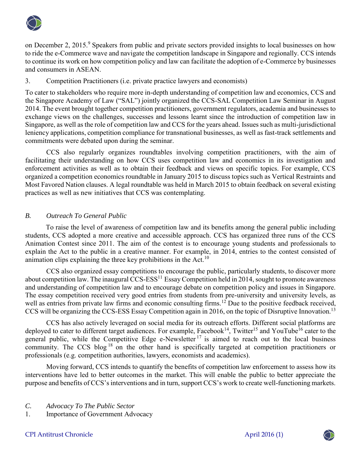

on December 2, 2015.<sup>9</sup> Speakers from public and private sectors provided insights to local businesses on how to ride the e-Commerce wave and navigate the competition landscape in Singapore and regionally. CCS intends to continue its work on how competition policy and law can facilitate the adoption of e-Commerce by businesses and consumers in ASEAN.

# 3. Competition Practitioners (i.e. private practice lawyers and economists)

To cater to stakeholders who require more in-depth understanding of competition law and economics, CCS and the Singapore Academy of Law ("SAL") jointly organized the CCS-SAL Competition Law Seminar in August 2014. The event brought together competition practitioners, government regulators, academia and businesses to exchange views on the challenges, successes and lessons learnt since the introduction of competition law in Singapore, as well as the role of competition law and CCS for the years ahead. Issues such as multi-jurisdictional leniency applications, competition compliance for transnational businesses, as well as fast-track settlements and commitments were debated upon during the seminar.

CCS also regularly organizes roundtables involving competition practitioners, with the aim of facilitating their understanding on how CCS uses competition law and economics in its investigation and enforcement activities as well as to obtain their feedback and views on specific topics. For example, CCS organized a competition economics roundtable in January 2015 to discuss topics such as Vertical Restraints and Most Favored Nation clauses. A legal roundtable was held in March 2015 to obtain feedback on several existing practices as well as new initiatives that CCS was contemplating.

# *B. Outreach To General Public*

To raise the level of awareness of competition law and its benefits among the general public including students, CCS adopted a more creative and accessible approach. CCS has organized three runs of the CCS Animation Contest since 2011. The aim of the contest is to encourage young students and professionals to explain the Act to the public in a creative manner. For example, in 2014, entries to the contest consisted of animation clips explaining the three key prohibitions in the Act.<sup>10</sup>

CCS also organized essay competitions to encourage the public, particularly students, to discover more about competition law. The inaugural CCS-ESS<sup>11</sup> Essay Competition held in 2014, sought to promote awareness and understanding of competition law and to encourage debate on competition policy and issues in Singapore. The essay competition received very good entries from students from pre-university and university levels, as well as entries from private law firms and economic consulting firms.<sup>12</sup> Due to the positive feedback received, CCS will be organizing the CCS-ESS Essay Competition again in 2016, on the topic of Disruptive Innovation.<sup>13</sup>

CCS has also actively leveraged on social media for its outreach efforts. Different social platforms are deployed to cater to different target audiences. For example, Facebook<sup>14</sup>, Twitter<sup>15</sup> and YouTube<sup>16</sup> cater to the general public, while the Competitive Edge e-Newsletter<sup>17</sup> is aimed to reach out to the local business community. The CCS blog  $18$  on the other hand is specifically targeted at competition practitioners or professionals (e.g. competition authorities, lawyers, economists and academics).

Moving forward, CCS intends to quantify the benefits of competition law enforcement to assess how its interventions have led to better outcomes in the market. This will enable the public to better appreciate the purpose and benefits of CCS's interventions and in turn, support CCS's work to create well-functioning markets.

- *C. Advocacy To The Public Sector*
- 1. Importance of Government Advocacy

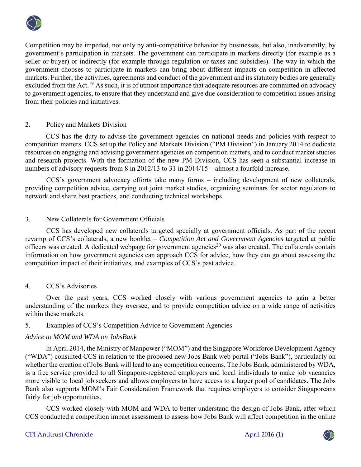

Competition may be impeded, not only by anti-competitive behavior by businesses, but also, inadvertently, by government's participation in markets. The government can participate in markets directly (for example as a seller or buyer) or indirectly (for example through regulation or taxes and subsidies). The way in which the government chooses to participate in markets can bring about different impacts on competition in affected markets. Further, the activities, agreements and conduct of the government and its statutory bodies are generally excluded from the Act.<sup>19</sup> As such, it is of utmost importance that adequate resources are committed on advocacy to government agencies, to ensure that they understand and give due consideration to competition issues arising from their policies and initiatives.

## 2. Policy and Markets Division

CCS has the duty to advise the government agencies on national needs and policies with respect to competition matters. CCS set up the Policy and Markets Division ("PM Division") in January 2014 to dedicate resources on engaging and advising government agencies on competition matters, and to conduct market studies and research projects. With the formation of the new PM Division, CCS has seen a substantial increase in numbers of advisory requests from 8 in 2012/13 to 31 in 2014/15 – almost a fourfold increase.

CCS's government advocacy efforts take many forms – including development of new collaterals, providing competition advice, carrying out joint market studies, organizing seminars for sector regulators to network and share best practices, and conducting technical workshops.

## 3. New Collaterals for Government Officials

CCS has developed new collaterals targeted specially at government officials. As part of the recent revamp of CCS's collaterals, a new booklet – *Competition Act and Government Agencies* targeted at public officers was created. A dedicated webpage for government agencies<sup>20</sup> was also created. The collaterals contain information on how government agencies can approach CCS for advice, how they can go about assessing the competition impact of their initiatives, and examples of CCS's past advice.

#### 4. CCS's Advisories

Over the past years, CCS worked closely with various government agencies to gain a better understanding of the markets they oversee, and to provide competition advice on a wide range of activities within these markets.

### 5. Examples of CCS's Competition Advice to Government Agencies

#### *Advice to MOM and WDA on JobsBank*

In April 2014, the Ministry of Manpower ("MOM") and the Singapore Workforce Development Agency ("WDA") consulted CCS in relation to the proposed new Jobs Bank web portal ("Jobs Bank"), particularly on whether the creation of Jobs Bank will lead to any competition concerns. The Jobs Bank, administered by WDA, is a free service provided to all Singapore-registered employers and local individuals to make job vacancies more visible to local job seekers and allows employers to have access to a larger pool of candidates. The Jobs Bank also supports MOM's Fair Consideration Framework that requires employers to consider Singaporeans fairly for job opportunities.

CCS worked closely with MOM and WDA to better understand the design of Jobs Bank, after which CCS conducted a competition impact assessment to assess how Jobs Bank will affect competition in the online

## CPI Antitrust Chronicle April 2016 (1)

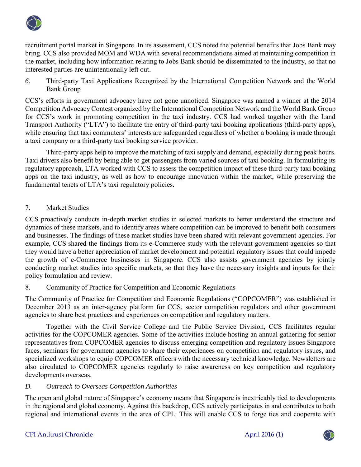

recruitment portal market in Singapore. In its assessment, CCS noted the potential benefits that Jobs Bank may bring. CCS also provided MOM and WDA with several recommendations aimed at maintaining competition in the market, including how information relating to Jobs Bank should be disseminated to the industry, so that no interested parties are unintentionally left out.

*6.* Third-party Taxi Applications Recognized by the International Competition Network and the World Bank Group

CCS's efforts in government advocacy have not gone unnoticed. Singapore was named a winner at the 2014 Competition Advocacy Contest organized by the International Competition Network and the World Bank Group for CCS's work in promoting competition in the taxi industry. CCS had worked together with the Land Transport Authority ("LTA") to facilitate the entry of third-party taxi booking applications (third-party apps), while ensuring that taxi commuters' interests are safeguarded regardless of whether a booking is made through a taxi company or a third-party taxi booking service provider.

Third-party apps help to improve the matching of taxi supply and demand, especially during peak hours. Taxi drivers also benefit by being able to get passengers from varied sources of taxi booking. In formulating its regulatory approach, LTA worked with CCS to assess the competition impact of these third-party taxi booking apps on the taxi industry, as well as how to encourage innovation within the market, while preserving the fundamental tenets of LTA's taxi regulatory policies.

# 7. Market Studies

CCS proactively conducts in-depth market studies in selected markets to better understand the structure and dynamics of these markets, and to identify areas where competition can be improved to benefit both consumers and businesses. The findings of these market studies have been shared with relevant government agencies. For example, CCS shared the findings from its e-Commerce study with the relevant government agencies so that they would have a better appreciation of market development and potential regulatory issues that could impede the growth of e-Commerce businesses in Singapore. CCS also assists government agencies by jointly conducting market studies into specific markets, so that they have the necessary insights and inputs for their policy formulation and review.

# 8. Community of Practice for Competition and Economic Regulations

The Community of Practice for Competition and Economic Regulations ("COPCOMER") was established in December 2013 as an inter-agency platform for CCS, sector competition regulators and other government agencies to share best practices and experiences on competition and regulatory matters.

Together with the Civil Service College and the Public Service Division, CCS facilitates regular activities for the COPCOMER agencies. Some of the activities include hosting an annual gathering for senior representatives from COPCOMER agencies to discuss emerging competition and regulatory issues Singapore faces, seminars for government agencies to share their experiences on competition and regulatory issues, and specialized workshops to equip COPCOMER officers with the necessary technical knowledge. Newsletters are also circulated to COPCOMER agencies regularly to raise awareness on key competition and regulatory developments overseas.

## *D. Outreach to Overseas Competition Authorities*

The open and global nature of Singapore's economy means that Singapore is inextricably tied to developments in the regional and global economy. Against this backdrop, CCS actively participates in and contributes to both regional and international events in the area of CPL. This will enable CCS to forge ties and cooperate with

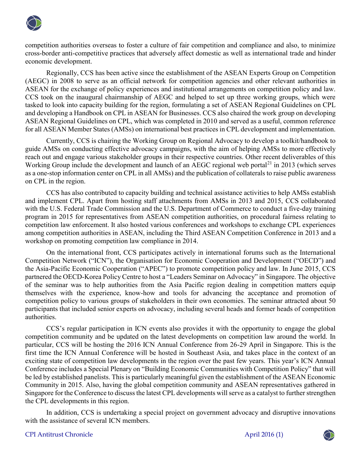

competition authorities overseas to foster a culture of fair competition and compliance and also, to minimize cross-border anti-competitive practices that adversely affect domestic as well as international trade and hinder economic development.

Regionally, CCS has been active since the establishment of the ASEAN Experts Group on Competition (AEGC) in 2008 to serve as an official network for competition agencies and other relevant authorities in ASEAN for the exchange of policy experiences and institutional arrangements on competition policy and law. CCS took on the inaugural chairmanship of AEGC and helped to set up three working groups, which were tasked to look into capacity building for the region, formulating a set of ASEAN Regional Guidelines on CPL and developing a Handbook on CPL in ASEAN for Businesses. CCS also chaired the work group on developing ASEAN Regional Guidelines on CPL, which was completed in 2010 and served as a useful, common reference for all ASEAN Member States (AMSs) on international best practices in CPL development and implementation.

Currently, CCS is chairing the Working Group on Regional Advocacy to develop a toolkit/handbook to guide AMSs on conducting effective advocacy campaigns, with the aim of helping AMSs to more effectively reach out and engage various stakeholder groups in their respective countries. Other recent deliverables of this Working Group include the development and launch of an AEGC regional web portal<sup>21</sup> in 2013 (which serves as a one-stop information center on CPL in all AMSs) and the publication of collaterals to raise public awareness on CPL in the region.

CCS has also contributed to capacity building and technical assistance activities to help AMSs establish and implement CPL. Apart from hosting staff attachments from AMSs in 2013 and 2015, CCS collaborated with the U.S. Federal Trade Commission and the U.S. Department of Commerce to conduct a five-day training program in 2015 for representatives from ASEAN competition authorities, on procedural fairness relating to competition law enforcement. It also hosted various conferences and workshops to exchange CPL experiences among competition authorities in ASEAN, including the Third ASEAN Competition Conference in 2013 and a workshop on promoting competition law compliance in 2014.

On the international front, CCS participates actively in international forums such as the International Competition Network ("ICN"), the Organisation for Economic Cooperation and Development ("OECD") and the Asia-Pacific Economic Cooperation ("APEC") to promote competition policy and law. In June 2015, CCS partnered the OECD-Korea Policy Centre to host a "Leaders Seminar on Advocacy" in Singapore. The objective of the seminar was to help authorities from the Asia Pacific region dealing in competition matters equip themselves with the experience, know-how and tools for advancing the acceptance and promotion of competition policy to various groups of stakeholders in their own economies. The seminar attracted about 50 participants that included senior experts on advocacy, including several heads and former heads of competition authorities.

CCS's regular participation in ICN events also provides it with the opportunity to engage the global competition community and be updated on the latest developments on competition law around the world. In particular, CCS will be hosting the 2016 ICN Annual Conference from 26-29 April in Singapore. This is the first time the ICN Annual Conference will be hosted in Southeast Asia, and takes place in the context of an exciting state of competition law developments in the region over the past few years. This year's ICN Annual Conference includes a Special Plenary on "Building Economic Communities with Competition Policy" that will be led by established panelists. This is particularly meaningful given the establishment of the ASEAN Economic Community in 2015. Also, having the global competition community and ASEAN representatives gathered in Singapore for the Conference to discuss the latest CPL developments will serve as a catalyst to further strengthen the CPL developments in this region.

In addition, CCS is undertaking a special project on government advocacy and disruptive innovations with the assistance of several ICN members.

## CPI Antitrust Chronicle April 2016 (1)

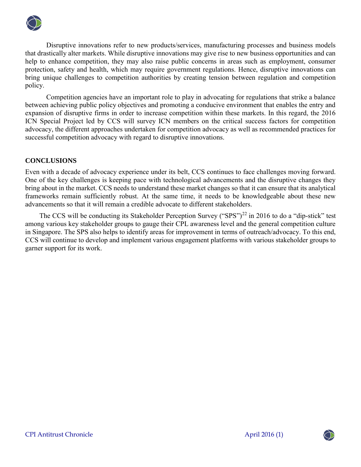

Disruptive innovations refer to new products/services, manufacturing processes and business models that drastically alter markets. While disruptive innovations may give rise to new business opportunities and can help to enhance competition, they may also raise public concerns in areas such as employment, consumer protection, safety and health, which may require government regulations. Hence, disruptive innovations can bring unique challenges to competition authorities by creating tension between regulation and competition policy.

Competition agencies have an important role to play in advocating for regulations that strike a balance between achieving public policy objectives and promoting a conducive environment that enables the entry and expansion of disruptive firms in order to increase competition within these markets. In this regard, the 2016 ICN Special Project led by CCS will survey ICN members on the critical success factors for competition advocacy, the different approaches undertaken for competition advocacy as well as recommended practices for successful competition advocacy with regard to disruptive innovations.

# **CONCLUSIONS**

Even with a decade of advocacy experience under its belt, CCS continues to face challenges moving forward. One of the key challenges is keeping pace with technological advancements and the disruptive changes they bring about in the market. CCS needs to understand these market changes so that it can ensure that its analytical frameworks remain sufficiently robust. At the same time, it needs to be knowledgeable about these new advancements so that it will remain a credible advocate to different stakeholders.

The CCS will be conducting its Stakeholder Perception Survey ("SPS")<sup>22</sup> in 2016 to do a "dip-stick" test among various key stakeholder groups to gauge their CPL awareness level and the general competition culture in Singapore. The SPS also helps to identify areas for improvement in terms of outreach/advocacy. To this end, CCS will continue to develop and implement various engagement platforms with various stakeholder groups to garner support for its work.